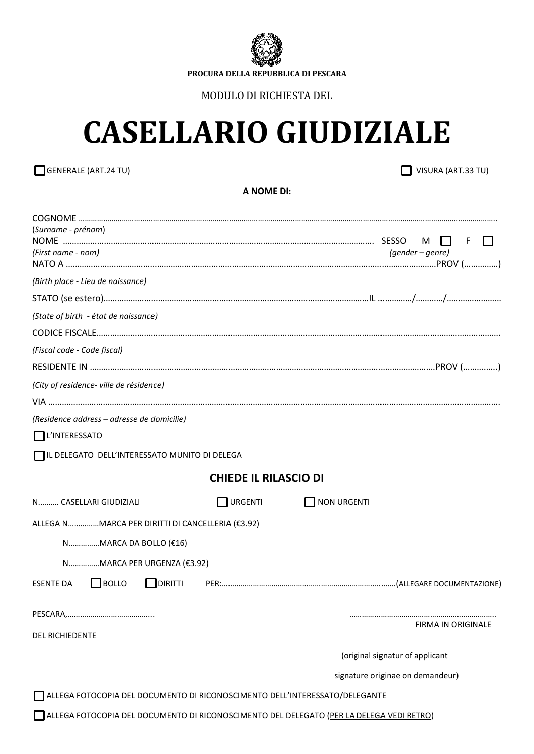

**PROCURA DELLA REPUBBLICA DI PESCARA**

MODULO DI RICHIESTA DEL

# **CASELLARIO GIUDIZIALE**

GENERALE (ART.24 TU) VISURA (ART.33 TU)

**A NOME DI:**

| (Surname - prénom)                                                                       |         |                              |                    |                                  |                    |   |  |
|------------------------------------------------------------------------------------------|---------|------------------------------|--------------------|----------------------------------|--------------------|---|--|
| (First name - nom)                                                                       |         |                              |                    | M<br>(gender – genre)            |                    | F |  |
| (Birth place - Lieu de naissance)                                                        |         |                              |                    |                                  |                    |   |  |
|                                                                                          |         |                              |                    |                                  |                    |   |  |
| (State of birth - état de naissance)                                                     |         |                              |                    |                                  |                    |   |  |
|                                                                                          |         |                              |                    |                                  |                    |   |  |
| (Fiscal code - Code fiscal)                                                              |         |                              |                    |                                  |                    |   |  |
|                                                                                          |         |                              |                    |                                  |                    |   |  |
| (City of residence- ville de résidence)                                                  |         |                              |                    |                                  |                    |   |  |
|                                                                                          |         |                              |                    |                                  |                    |   |  |
| (Residence address - adresse de domicilie)                                               |         |                              |                    |                                  |                    |   |  |
| $\prod$ L'INTERESSATO                                                                    |         |                              |                    |                                  |                    |   |  |
| IL DELEGATO DELL'INTERESSATO MUNITO DI DELEGA                                            |         |                              |                    |                                  |                    |   |  |
|                                                                                          |         | <b>CHIEDE IL RILASCIO DI</b> |                    |                                  |                    |   |  |
| N CASELLARI GIUDIZIALI                                                                   |         | $\Box$ URGENTI               | <b>NON URGENTI</b> |                                  |                    |   |  |
| ALLEGA NMARCA PER DIRITTI DI CANCELLERIA (€3.92)                                         |         |                              |                    |                                  |                    |   |  |
| NMARCA DA BOLLO (€16)                                                                    |         |                              |                    |                                  |                    |   |  |
| NMARCA PER URGENZA (€3.92)                                                               |         |                              |                    |                                  |                    |   |  |
| <b>BOLLO</b><br><b>ESENTE DA</b><br>$\blacksquare$                                       | DIRITTI |                              |                    |                                  |                    |   |  |
|                                                                                          |         |                              |                    |                                  |                    |   |  |
| <b>DEL RICHIEDENTE</b>                                                                   |         |                              |                    |                                  | FIRMA IN ORIGINALE |   |  |
|                                                                                          |         |                              |                    | (original signatur of applicant  |                    |   |  |
|                                                                                          |         |                              |                    | signature originae on demandeur) |                    |   |  |
| ALLEGA FOTOCOPIA DEL DOCUMENTO DI RICONOSCIMENTO DELL'INTERESSATO/DELEGANTE              |         |                              |                    |                                  |                    |   |  |
| ALLEGA FOTOCOPIA DEL DOCUMENTO DI RICONOSCIMENTO DEL DELEGATO (PER LA DELEGA VEDI RETRO) |         |                              |                    |                                  |                    |   |  |
|                                                                                          |         |                              |                    |                                  |                    |   |  |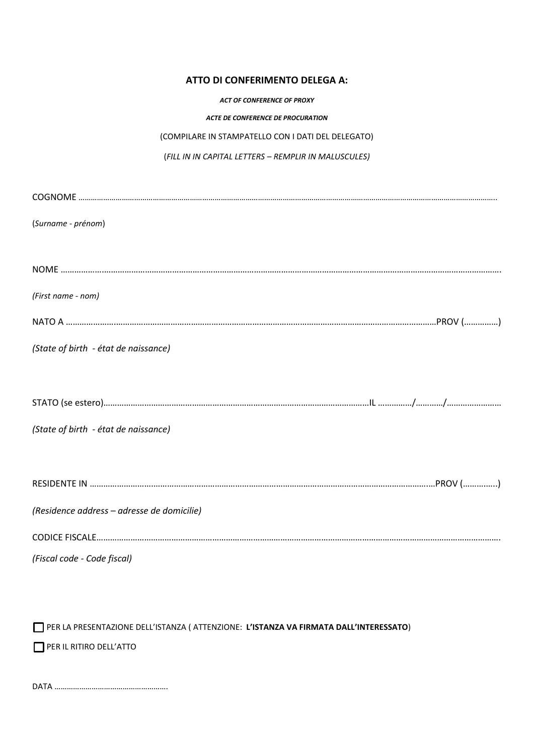## **ATTO DI CONFERIMENTO DELEGA A:**

#### *ACT OF CONFERENCE OF PROXY*

#### *ACTE DE CONFERENCE DE PROCURATION*

### (COMPILARE IN STAMPATELLO CON I DATI DEL DELEGATO)

## (*FILL IN IN CAPITAL LETTERS – REMPLIR IN MALUSCULES)*

| (Surname - prénom)                         |
|--------------------------------------------|
|                                            |
|                                            |
| (First name - nom)                         |
|                                            |
| (State of birth - état de naissance)       |
|                                            |
|                                            |
| (State of birth - état de naissance)       |
|                                            |
|                                            |
| (Residence address - adresse de domicilie) |
|                                            |
|                                            |
| (Fiscal code - Code fiscal)                |

PER LA PRESENTAZIONE DELL'ISTANZA ( ATTENZIONE: **L'ISTANZA VA FIRMATA DALL'INTERESSATO**)

PER IL RITIRO DELL'ATTO

DATA ……………………………………………….